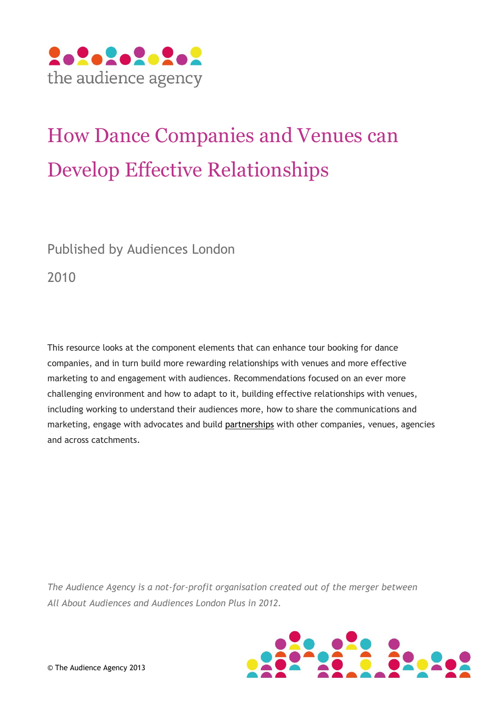

# How Dance Companies and Venues can Develop Effective Relationships

Published by Audiences London

2010

This resource looks at the component elements that can enhance tour booking for dance companies, and in turn build more rewarding relationships with venues and more effective marketing to and engagement with audiences. Recommendations focused on an ever more challenging environment and how to adapt to it, building effective relationships with venues, including working to understand their audiences more, how to share the communications and marketing, engage with advocates and build [partnerships](http://culturehive.co.uk/search/?q=partnership) with other companies, venues, agencies and across catchments.

*The Audience Agency is a not-for-profit organisation created out of the merger between All About Audiences and Audiences London Plus in 2012.*

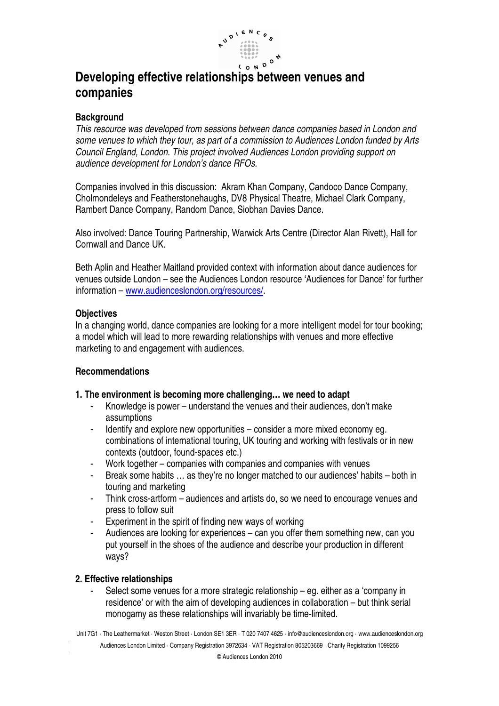

# **Developing effective relationships between venues and companies**

### **Background**

This resource was developed from sessions between dance companies based in London and some venues to which they tour, as part of a commission to Audiences London funded by Arts Council England, London. This project involved Audiences London providing support on audience development for London's dance RFOs.

Companies involved in this discussion: Akram Khan Company, Candoco Dance Company, Cholmondeleys and Featherstonehaughs, DV8 Physical Theatre, Michael Clark Company, Rambert Dance Company, Random Dance, Siobhan Davies Dance.

Also involved: Dance Touring Partnership, Warwick Arts Centre (Director Alan Rivett), Hall for Cornwall and Dance UK.

Beth Aplin and Heather Maitland provided context with information about dance audiences for venues outside London – see the Audiences London resource 'Audiences for Dance' for further information – www.audienceslondon.org/resources/.

#### **Objectives**

In a changing world, dance companies are looking for a more intelligent model for tour booking; a model which will lead to more rewarding relationships with venues and more effective marketing to and engagement with audiences.

# **Recommendations**

#### **1. The environment is becoming more challenging… we need to adapt**

- Knowledge is power understand the venues and their audiences, don't make assumptions
- Identify and explore new opportunities consider a more mixed economy eg. combinations of international touring, UK touring and working with festivals or in new contexts (outdoor, found-spaces etc.)
- Work together companies with companies and companies with venues
- Break some habits ... as they're no longer matched to our audiences' habits both in touring and marketing
- Think cross-artform audiences and artists do, so we need to encourage venues and press to follow suit
- Experiment in the spirit of finding new ways of working
- Audiences are looking for experiences can you offer them something new, can you put yourself in the shoes of the audience and describe your production in different ways?

# **2. Effective relationships**

Select some venues for a more strategic relationship – eg. either as a 'company in residence' or with the aim of developing audiences in collaboration – but think serial monogamy as these relationships will invariably be time-limited.

Unit 7G1 · The Leathermarket · Weston Street · London SE1 3ER · T 020 7407 4625 · info@audienceslondon.org · www.audienceslondon.org Audiences London Limited · Company Registration 3972634 · VAT Registration 805203669 · Charity Registration 1099256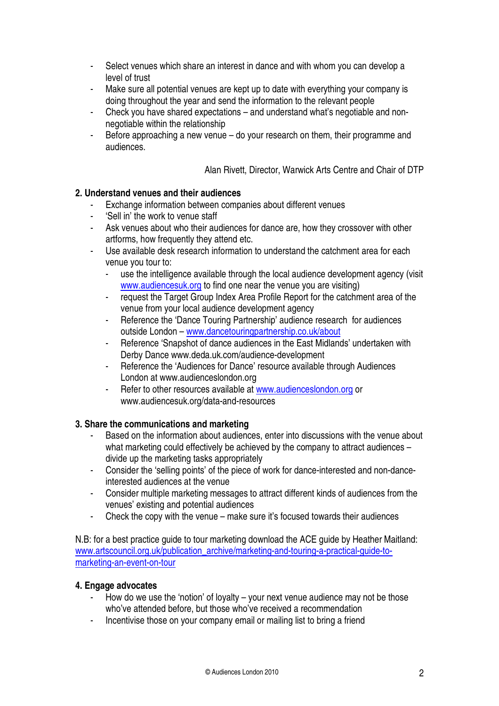- Select venues which share an interest in dance and with whom you can develop a level of trust
- Make sure all potential venues are kept up to date with everything your company is doing throughout the year and send the information to the relevant people
- Check you have shared expectations and understand what's negotiable and nonnegotiable within the relationship
- Before approaching a new venue do your research on them, their programme and audiences.

Alan Rivett, Director, Warwick Arts Centre and Chair of DTP

# **2. Understand venues and their audiences**

- Exchange information between companies about different venues
- 'Sell in' the work to venue staff
- Ask venues about who their audiences for dance are, how they crossover with other artforms, how frequently they attend etc.
- Use available desk research information to understand the catchment area for each venue you tour to:
	- use the intelligence available through the local audience development agency (visit www.audiencesuk.org to find one near the venue you are visiting)
	- request the Target Group Index Area Profile Report for the catchment area of the venue from your local audience development agency
	- Reference the 'Dance Touring Partnership' audience research for audiences outside London – www.dancetouringpartnership.co.uk/about
	- Reference 'Snapshot of dance audiences in the East Midlands' undertaken with Derby Dance www.deda.uk.com/audience-development
	- Reference the 'Audiences for Dance' resource available through Audiences London at www.audienceslondon.org
	- Refer to other resources available at www.audienceslondon.org or www.audiencesuk.org/data-and-resources

# **3. Share the communications and marketing**

- Based on the information about audiences, enter into discussions with the venue about what marketing could effectively be achieved by the company to attract audiences – divide up the marketing tasks appropriately
- Consider the 'selling points' of the piece of work for dance-interested and non-danceinterested audiences at the venue
- Consider multiple marketing messages to attract different kinds of audiences from the venues' existing and potential audiences
- Check the copy with the venue make sure it's focused towards their audiences

N.B: for a best practice guide to tour marketing download the ACE guide by Heather Maitland: www.artscouncil.org.uk/publication\_archive/marketing-and-touring-a-practical-guide-tomarketing-an-event-on-tour

# **4. Engage advocates**

- How do we use the 'notion' of loyalty your next venue audience may not be those who've attended before, but those who've received a recommendation
- Incentivise those on your company email or mailing list to bring a friend